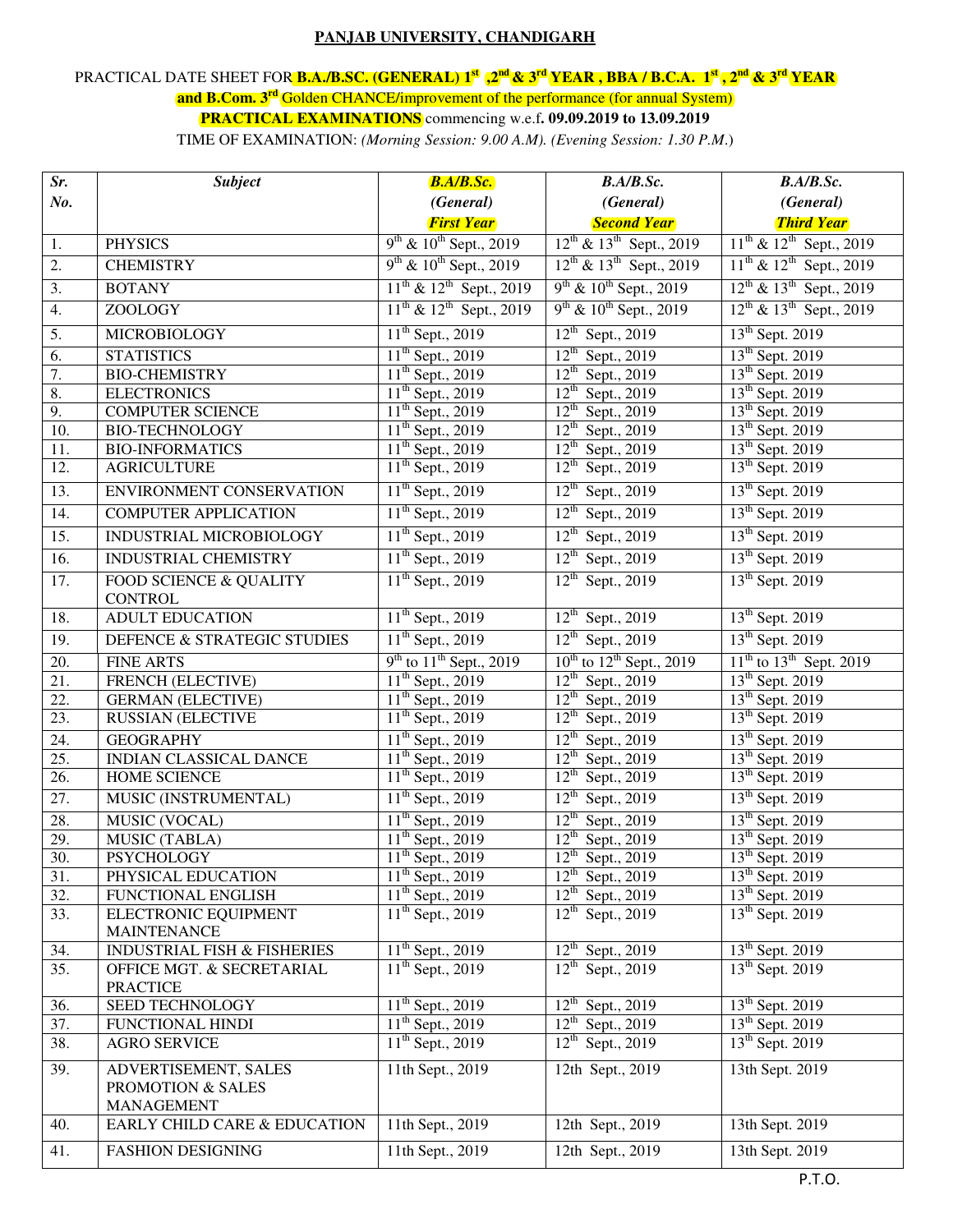## **PANJAB UNIVERSITY, CHANDIGARH**

## PRACTICAL DATE SHEET FOR **B.A./B.SC. (GENERAL) 1st ,2nd & 3rd YEAR , BBA / B.C.A. 1st , 2nd & 3rd YEAR and B.Com. 3rd** Golden CHANCE/improvement of the performance (for annual System) **PRACTICAL EXAMINATIONS** commencing w.e.f**. 09.09.2019 to 13.09.2019**

TIME OF EXAMINATION: *(Morning Session: 9.00 A.M). (Evening Session: 1.30 P.M*.)

| Sr.               | <b>Subject</b>                                    | B.A/B.Sc.                         | B.A/B.Sc.                               | B.A/B.Sc.                         |  |
|-------------------|---------------------------------------------------|-----------------------------------|-----------------------------------------|-----------------------------------|--|
| No.               |                                                   | (General)                         | (General)                               | (General)                         |  |
|                   |                                                   | <b>First Year</b>                 | <b>Second Year</b>                      | <b>Third Year</b>                 |  |
| 1.                | <b>PHYSICS</b>                                    | $9^{th}$ & $10^{th}$ Sept., 2019  | $12^{th}$ & $13^{th}$ Sept., 2019       | $11^{th}$ & $12^{th}$ Sept., 2019 |  |
| 2.                | <b>CHEMISTRY</b>                                  | $9^{th}$ & $10^{th}$ Sept., 2019  | $12^{th}$ & $13^{th}$ Sept., 2019       | $11^{th}$ & $12^{th}$ Sept., 2019 |  |
| 3.                | <b>BOTANY</b>                                     | $11^{th}$ & $12^{th}$ Sept., 2019 | $9^{th}$ & $10^{th}$ Sept., 2019        | $12^{th}$ & $13^{th}$ Sept., 2019 |  |
| 4.                | ZOOLOGY                                           | $11^{th}$ & $12^{th}$ Sept., 2019 | $9^{th}$ & $10^{th}$ Sept., 2019        | $12^{th}$ & $13^{th}$ Sept., 2019 |  |
| 5.                | <b>MICROBIOLOGY</b>                               | $11th$ Sept., 2019                | $12^{th}$ Sept., 2019                   | 13 <sup>th</sup> Sept. 2019       |  |
| 6.                | <b>STATISTICS</b>                                 | $11th$ Sept., 2019                | $12^{th}$ Sept., 2019                   | 13 <sup>th</sup> Sept. 2019       |  |
| 7.                | <b>BIO-CHEMISTRY</b>                              | $11th$ Sept., 2019                | $12^{th}$ Sept., 2019                   | 13 <sup>th</sup> Sept. 2019       |  |
| 8.                | <b>ELECTRONICS</b>                                | $11th$ Sept., 2019                | $12^{th}$ Sept., 2019                   | 13 <sup>th</sup> Sept. 2019       |  |
| 9.                | <b>COMPUTER SCIENCE</b>                           | 11 <sup>th</sup> Sept., 2019      | $12^{th}$ Sept., 2019                   | 13 <sup>th</sup> Sept. 2019       |  |
| 10.               | <b>BIO-TECHNOLOGY</b>                             | $11th$ Sept., 2019                | $12^{th}$ Sept., 2019                   | 13 <sup>th</sup> Sept. 2019       |  |
| 11.               | <b>BIO-INFORMATICS</b>                            | $11th$ Sept., 2019                | $12^{th}$ Sept., 2019                   | 13 <sup>th</sup> Sept. 2019       |  |
| 12.               | <b>AGRICULTURE</b>                                | $11th$ Sept., 2019                | $12^{th}$ Sept., 2019                   | $13th$ Sept. 2019                 |  |
| 13.               | ENVIRONMENT CONSERVATION                          | $11^{th}$ Sept., 2019             | $12^{th}$ Sept., 2019                   | 13 <sup>th</sup> Sept. 2019       |  |
| 14.               | <b>COMPUTER APPLICATION</b>                       | $11^{th}$ Sept., 2019             | $12^{th}$ Sept., 2019                   | 13 <sup>th</sup> Sept. 2019       |  |
| 15.               | INDUSTRIAL MICROBIOLOGY                           | $11th$ Sept., 2019                | $12^{th}$ Sept., 2019                   | 13 <sup>th</sup> Sept. 2019       |  |
| 16.               | <b>INDUSTRIAL CHEMISTRY</b>                       | $11^{th}$ Sept., 2019             | $12^{th}$ Sept., 2019                   | 13 <sup>th</sup> Sept. 2019       |  |
| 17.               | FOOD SCIENCE & QUALITY<br><b>CONTROL</b>          | $11^{th}$ Sept., 2019             | $12^{th}$ Sept., 2019                   | 13 <sup>th</sup> Sept. 2019       |  |
| 18.               | <b>ADULT EDUCATION</b>                            | $11^{th}$ Sept., 2019             | $12^{th}$ Sept., 2019                   | $13th$ Sept. 2019                 |  |
| 19.               | DEFENCE & STRATEGIC STUDIES                       | $11th$ Sept., 2019                | $12^{th}$ Sept., 2019                   | $13th$ Sept. 2019                 |  |
| 20.               | <b>FINE ARTS</b>                                  | $9th$ to $11th$ Sept., 2019       | $10^{th}$ to $12^{th}$ Sept., 2019      | $11^{th}$ to $13^{th}$ Sept. 2019 |  |
| 21.               | FRENCH (ELECTIVE)                                 | $11^{th}$ Sept., 2019             | $12^{th}$ Sept., 2019                   | 13 <sup>th</sup> Sept. 2019       |  |
| 22.               | <b>GERMAN</b> (ELECTIVE)                          | 11 <sup>th</sup> Sept., 2019      | $12^{th}$ Sept., 2019                   | 13 <sup>th</sup> Sept. 2019       |  |
| 23.               | <b>RUSSIAN (ELECTIVE</b>                          | $11th$ Sept., 2019                | $12^{th}$ Sept., 2019                   | $13th$ Sept. 2019                 |  |
| 24.               | <b>GEOGRAPHY</b>                                  | $11^{th}$ Sept., 2019             | $12^{th}$ Sept., 2019                   | 13 <sup>th</sup> Sept. 2019       |  |
| 25.               | INDIAN CLASSICAL DANCE                            | 11 <sup>th</sup> Sept., 2019      | $12^{th}$ Sept., 2019                   | $13th$ Sept. 2019                 |  |
| 26.               | <b>HOME SCIENCE</b>                               | $11^{th}$ Sept., 2019             | $12^{th}$ Sept., 2019                   | $13th$ Sept. 2019                 |  |
| 27.               | MUSIC (INSTRUMENTAL)                              | $11^{th}$ Sept., 2019             | $12^{th}$ Sept., 2019                   | 13 <sup>th</sup> Sept. 2019       |  |
| $\overline{28}$ . | <b>MUSIC (VOCAL)</b>                              | $11th$ Sept., 2019                | $12^{th}$ Sept., 2019                   | 13 <sup>th</sup> Sept. 2019       |  |
| 29.               | MUSIC (TABLA)                                     | 11 <sup>th</sup> Sept., 2019      | $12^{th}$ Sept., 2019                   | 13 <sup>th</sup> Sept. 2019       |  |
| 30.               | <b>PSYCHOLOGY</b>                                 | $11^{th}$ Sept., 2019             | $12th$ Sept., 2019                      | 13 <sup>th</sup> Sept. 2019       |  |
| 31.               | PHYSICAL EDUCATION                                | 11 <sup>th</sup> Sept., 2019      | $\overline{12}^{\text{th}}$ Sept., 2019 | 13 <sup>th</sup> Sept. 2019       |  |
| 32.               | FUNCTIONAL ENGLISH                                | $11^{th}$ Sept., 2019             | $12^{th}$ Sept., 2019                   | 13 <sup>th</sup> Sept. 2019       |  |
| 33.               | <b>ELECTRONIC EQUIPMENT</b><br><b>MAINTENANCE</b> | $11th$ Sept., 2019                | $12^{th}$ Sept., 2019                   | $13th$ Sept. 2019                 |  |
| 34.               | <b>INDUSTRIAL FISH &amp; FISHERIES</b>            | $11th$ Sept., 2019                | $12^{th}$ Sept., 2019                   | 13 <sup>th</sup> Sept. 2019       |  |
| 35.               | OFFICE MGT. & SECRETARIAL                         | $11^{th}$ Sept., 2019             | $12^{th}$ Sept., 2019                   | 13 <sup>th</sup> Sept. 2019       |  |
|                   | <b>PRACTICE</b>                                   |                                   |                                         |                                   |  |
| 36.               | SEED TECHNOLOGY                                   | $11th$ Sept., 2019                | $12^{th}$ Sept., 2019                   | $13th$ Sept. 2019                 |  |
| 37.               | FUNCTIONAL HINDI                                  | $11th$ Sept., 2019                | $12^{th}$ Sept., 2019                   | $13th$ Sept. 2019                 |  |
| 38.               | <b>AGRO SERVICE</b>                               | $11th$ Sept., 2019                | $12^{th}$ Sept., 2019                   | $13th$ Sept. 2019                 |  |
| 39.               | ADVERTISEMENT, SALES                              | 11th Sept., 2019                  | 12th Sept., 2019                        | 13th Sept. 2019                   |  |
|                   | PROMOTION & SALES                                 |                                   |                                         |                                   |  |
| 40.               | <b>MANAGEMENT</b><br>EARLY CHILD CARE & EDUCATION | 11th Sept., 2019                  | 12th Sept., 2019                        | 13th Sept. 2019                   |  |
|                   |                                                   |                                   | 12th Sept., 2019                        | 13th Sept. 2019                   |  |
| 41.               | <b>FASHION DESIGNING</b>                          | 11th Sept., 2019                  |                                         |                                   |  |